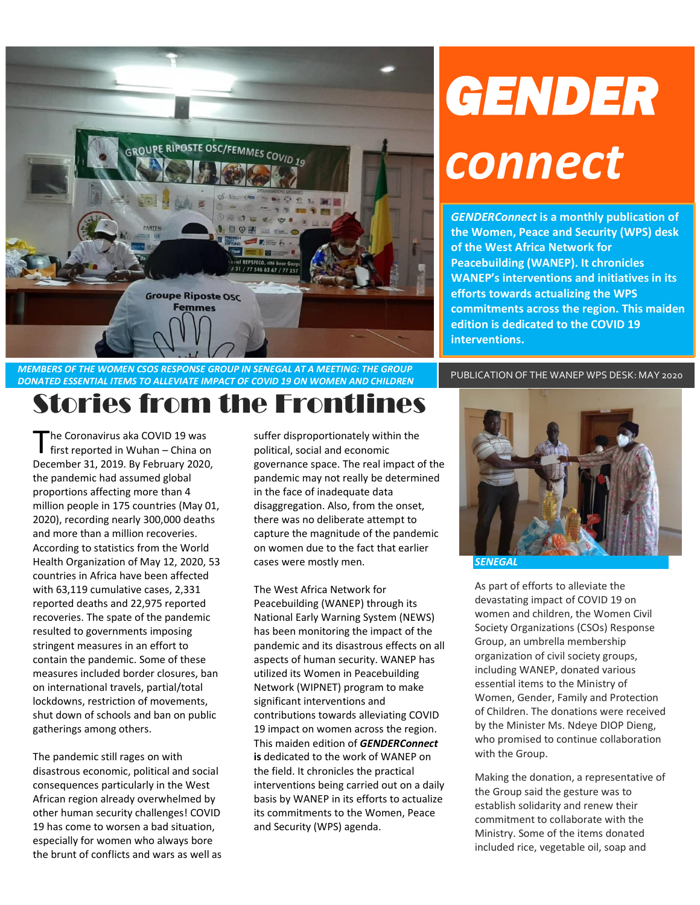

# *GENDER connect*

*GENDERConnect* **is a monthly publication of the Women, Peace and Security (WPS) desk of the West Africa Network for Peacebuilding (WANEP). It chronicles WANEP's interventions and initiatives in its efforts towards actualizing the WPS commitments across the region. This maiden edition is dedicated to the COVID 19 interventions.**

# *DONATED ESSENTIAL ITEMS TO ALLEVIATE IMPACT OF COVID 19 ON WOMEN AND CHILDREN* PUBLICATION OF THE WANEP WPS DESK: MAY 2020 Stories from the Frontlines

he Coronavirus aka COVID 19 was The Coronavirus aka COVID 19 was<br>
first reported in Wuhan – China on December 31, 2019. By February 2020, the pandemic had assumed global proportions affecting more than 4 million people in 175 countries (May 01, 2020), recording nearly 300,000 deaths and more than a million recoveries. According to statistics from the World Health Organization of May 12, 2020, 53 countries in Africa have been affected with 63,119 cumulative cases, 2,331 reported deaths and 22,975 reported recoveries. The spate of the pandemic resulted to governments imposing stringent measures in an effort to contain the pandemic. Some of these measures included border closures, ban on international travels, partial/total lockdowns, restriction of movements, shut down of schools and ban on public gatherings among others.

The pandemic still rages on with disastrous economic, political and social consequences particularly in the West African region already overwhelmed by other human security challenges! COVID 19 has come to worsen a bad situation, especially for women who always bore the brunt of conflicts and wars as well as suffer disproportionately within the political, social and economic governance space. The real impact of the pandemic may not really be determined in the face of inadequate data disaggregation. Also, from the onset, there was no deliberate attempt to capture the magnitude of the pandemic on women due to the fact that earlier cases were mostly men.

The West Africa Network for Peacebuilding (WANEP) through its National Early Warning System (NEWS) has been monitoring the impact of the pandemic and its disastrous effects on all aspects of human security. WANEP has utilized its Women in Peacebuilding Network (WIPNET) program to make significant interventions and contributions towards alleviating COVID 19 impact on women across the region. This maiden edition of *GENDERConnect* **is** dedicated to the work of WANEP on the field. It chronicles the practical interventions being carried out on a daily basis by WANEP in its efforts to actualize its commitments to the Women, Peace and Security (WPS) agenda.



As part of efforts to alleviate the devastating impact of COVID 19 on women and children, the Women Civil Society Organizations (CSOs) Response Group, an umbrella membership organization of civil society groups, including WANEP, donated various essential items to the Ministry of Women, Gender, Family and Protection of Children. The donations were received by the Minister Ms. Ndeye DIOP Dieng, who promised to continue collaboration with the Group.

Making the donation, a representative of the Group said the gesture was to establish solidarity and renew their commitment to collaborate with the Ministry. Some of the items donated included rice, vegetable oil, soap and